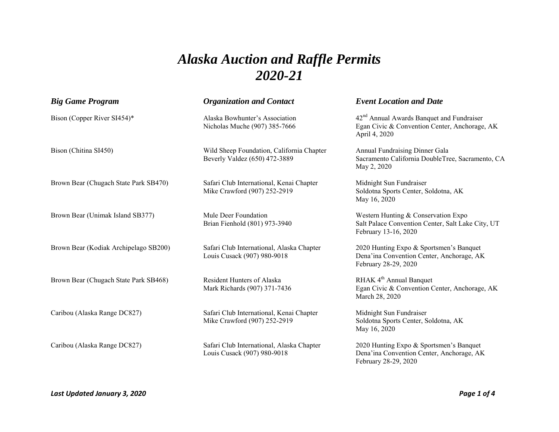## *Alaska Auction and Raffle Permits 2020-21*

| <b>Big Game Program</b>               | <b>Organization and Contact</b>                                            | <b>Event Location and Date</b>                                                                                          |
|---------------------------------------|----------------------------------------------------------------------------|-------------------------------------------------------------------------------------------------------------------------|
| Bison (Copper River SI454)*           | Alaska Bowhunter's Association<br>Nicholas Muche (907) 385-7666            | 42 <sup>nd</sup> Annual Awards Banquet and Fundraiser<br>Egan Civic & Convention Center, Anchorage, AK<br>April 4, 2020 |
| Bison (Chitina SI450)                 | Wild Sheep Foundation, California Chapter<br>Beverly Valdez (650) 472-3889 | Annual Fundraising Dinner Gala<br>Sacramento California DoubleTree, Sacramento, CA<br>May 2, 2020                       |
| Brown Bear (Chugach State Park SB470) | Safari Club International, Kenai Chapter<br>Mike Crawford (907) 252-2919   | Midnight Sun Fundraiser<br>Soldotna Sports Center, Soldotna, AK<br>May 16, 2020                                         |
| Brown Bear (Unimak Island SB377)      | Mule Deer Foundation<br>Brian Fienhold (801) 973-3940                      | Western Hunting & Conservation Expo<br>Salt Palace Convention Center, Salt Lake City, UT<br>February 13-16, 2020        |
| Brown Bear (Kodiak Archipelago SB200) | Safari Club International, Alaska Chapter<br>Louis Cusack (907) 980-9018   | 2020 Hunting Expo & Sportsmen's Banquet<br>Dena'ina Convention Center, Anchorage, AK<br>February 28-29, 2020            |
| Brown Bear (Chugach State Park SB468) | Resident Hunters of Alaska<br>Mark Richards (907) 371-7436                 | RHAK 4 <sup>th</sup> Annual Banquet<br>Egan Civic & Convention Center, Anchorage, AK<br>March 28, 2020                  |
| Caribou (Alaska Range DC827)          | Safari Club International, Kenai Chapter<br>Mike Crawford (907) 252-2919   | Midnight Sun Fundraiser<br>Soldotna Sports Center, Soldotna, AK<br>May 16, 2020                                         |
| Caribou (Alaska Range DC827)          | Safari Club International, Alaska Chapter<br>Louis Cusack (907) 980-9018   | 2020 Hunting Expo & Sportsmen's Banquet<br>Dena'ina Convention Center, Anchorage, AK<br>February 28-29, 2020            |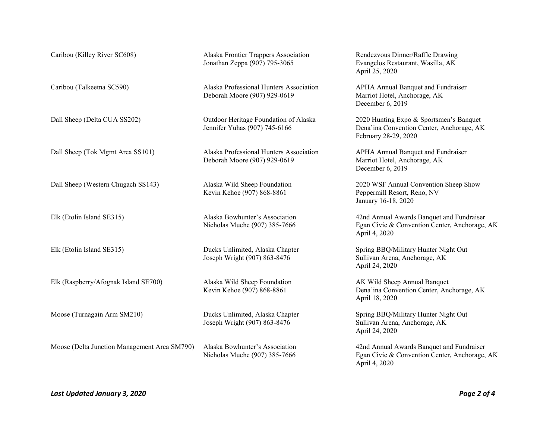| Caribou (Killey River SC608)                 | Alaska Frontier Trappers Association<br>Jonathan Zeppa (907) 795-3065   | Rendezvous Dinner/Raffle Drawing<br>Evangelos Restaurant, Wasilla, AK<br>April 25, 2020                      |
|----------------------------------------------|-------------------------------------------------------------------------|--------------------------------------------------------------------------------------------------------------|
| Caribou (Talkeetna SC590)                    | Alaska Professional Hunters Association<br>Deborah Moore (907) 929-0619 | APHA Annual Banquet and Fundraiser<br>Marriot Hotel, Anchorage, AK<br>December 6, 2019                       |
| Dall Sheep (Delta CUA SS202)                 | Outdoor Heritage Foundation of Alaska<br>Jennifer Yuhas (907) 745-6166  | 2020 Hunting Expo & Sportsmen's Banquet<br>Dena'ina Convention Center, Anchorage, AK<br>February 28-29, 2020 |
| Dall Sheep (Tok Mgmt Area SS101)             | Alaska Professional Hunters Association<br>Deborah Moore (907) 929-0619 | APHA Annual Banquet and Fundraiser<br>Marriot Hotel, Anchorage, AK<br>December 6, 2019                       |
| Dall Sheep (Western Chugach SS143)           | Alaska Wild Sheep Foundation<br>Kevin Kehoe (907) 868-8861              | 2020 WSF Annual Convention Sheep Show<br>Peppermill Resort, Reno, NV<br>January 16-18, 2020                  |
| Elk (Etolin Island SE315)                    | Alaska Bowhunter's Association<br>Nicholas Muche (907) 385-7666         | 42nd Annual Awards Banquet and Fundraiser<br>Egan Civic & Convention Center, Anchorage, AK<br>April 4, 2020  |
| Elk (Etolin Island SE315)                    | Ducks Unlimited, Alaska Chapter<br>Joseph Wright (907) 863-8476         | Spring BBQ/Military Hunter Night Out<br>Sullivan Arena, Anchorage, AK<br>April 24, 2020                      |
| Elk (Raspberry/Afognak Island SE700)         | Alaska Wild Sheep Foundation<br>Kevin Kehoe (907) 868-8861              | AK Wild Sheep Annual Banquet<br>Dena'ina Convention Center, Anchorage, AK<br>April 18, 2020                  |
| Moose (Turnagain Arm SM210)                  | Ducks Unlimited, Alaska Chapter<br>Joseph Wright (907) 863-8476         | Spring BBQ/Military Hunter Night Out<br>Sullivan Arena, Anchorage, AK<br>April 24, 2020                      |
| Moose (Delta Junction Management Area SM790) | Alaska Bowhunter's Association<br>Nicholas Muche (907) 385-7666         | 42nd Annual Awards Banquet and Fundraiser<br>Egan Civic & Convention Center, Anchorage, AK<br>April 4, 2020  |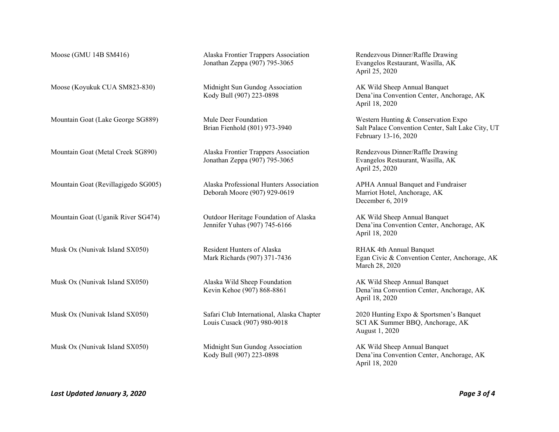| Moose (GMU 14B SM416)               | Alaska Frontier Trappers Association<br>Jonathan Zeppa (907) 795-3065    | Rendezvous Dinner/Raffle Drawing<br>Evangelos Restaurant, Wasilla, AK<br>April 25, 2020                          |
|-------------------------------------|--------------------------------------------------------------------------|------------------------------------------------------------------------------------------------------------------|
| Moose (Koyukuk CUA SM823-830)       | Midnight Sun Gundog Association<br>Kody Bull (907) 223-0898              | AK Wild Sheep Annual Banquet<br>Dena'ina Convention Center, Anchorage, AK<br>April 18, 2020                      |
| Mountain Goat (Lake George SG889)   | Mule Deer Foundation<br>Brian Fienhold (801) 973-3940                    | Western Hunting & Conservation Expo<br>Salt Palace Convention Center, Salt Lake City, UT<br>February 13-16, 2020 |
| Mountain Goat (Metal Creek SG890)   | Alaska Frontier Trappers Association<br>Jonathan Zeppa (907) 795-3065    | Rendezvous Dinner/Raffle Drawing<br>Evangelos Restaurant, Wasilla, AK<br>April 25, 2020                          |
| Mountain Goat (Revillagigedo SG005) | Alaska Professional Hunters Association<br>Deborah Moore (907) 929-0619  | <b>APHA Annual Banquet and Fundraiser</b><br>Marriot Hotel, Anchorage, AK<br>December 6, 2019                    |
| Mountain Goat (Uganik River SG474)  | Outdoor Heritage Foundation of Alaska<br>Jennifer Yuhas (907) 745-6166   | AK Wild Sheep Annual Banquet<br>Dena'ina Convention Center, Anchorage, AK<br>April 18, 2020                      |
| Musk Ox (Nunivak Island SX050)      | Resident Hunters of Alaska<br>Mark Richards (907) 371-7436               | RHAK 4th Annual Banquet<br>Egan Civic & Convention Center, Anchorage, AK<br>March 28, 2020                       |
| Musk Ox (Nunivak Island SX050)      | Alaska Wild Sheep Foundation<br>Kevin Kehoe (907) 868-8861               | AK Wild Sheep Annual Banquet<br>Dena'ina Convention Center, Anchorage, AK<br>April 18, 2020                      |
| Musk Ox (Nunivak Island SX050)      | Safari Club International, Alaska Chapter<br>Louis Cusack (907) 980-9018 | 2020 Hunting Expo & Sportsmen's Banquet<br>SCI AK Summer BBQ, Anchorage, AK<br>August 1, 2020                    |
| Musk Ox (Nunivak Island SX050)      | Midnight Sun Gundog Association<br>Kody Bull (907) 223-0898              | AK Wild Sheep Annual Banquet<br>Dena'ina Convention Center, Anchorage, AK<br>April 18, 2020                      |